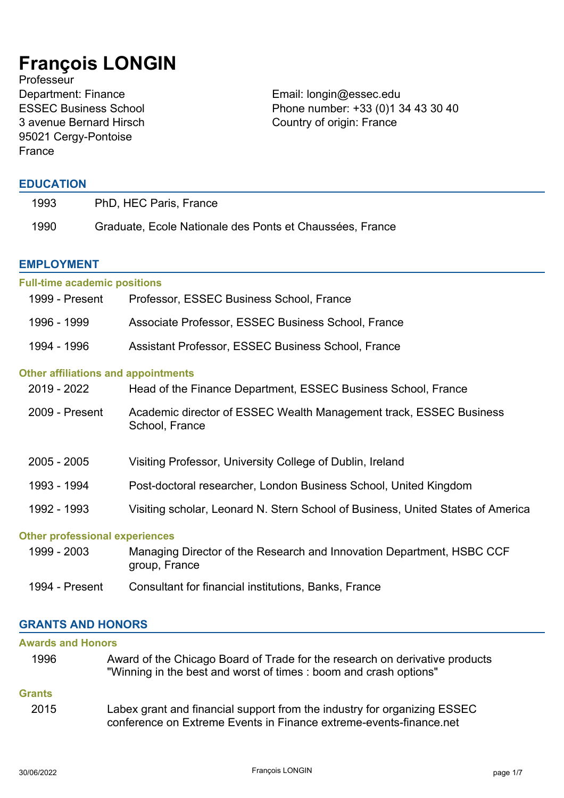# **François LONGIN**

**Professeur** Department: Finance Email: longin@essec.edu ESSEC Business School 3 avenue Bernard Hirsch 95021 Cergy-Pontoise France

Phone number: +33 (0)1 34 43 30 40 Country of origin: France

# **EDUCATION**

| 1993 | PhD, HEC Paris, France                                   |
|------|----------------------------------------------------------|
| 1990 | Graduate, Ecole Nationale des Ponts et Chaussées, France |

## **EMPLOYMENT**

| <b>Full-time academic positions</b>        |                                                                                        |
|--------------------------------------------|----------------------------------------------------------------------------------------|
| 1999 - Present                             | Professor, ESSEC Business School, France                                               |
| 1996 - 1999                                | Associate Professor, ESSEC Business School, France                                     |
| 1994 - 1996                                | Assistant Professor, ESSEC Business School, France                                     |
| <b>Other affiliations and appointments</b> |                                                                                        |
| 2019 - 2022                                | Head of the Finance Department, ESSEC Business School, France                          |
| 2009 - Present                             | Academic director of ESSEC Wealth Management track, ESSEC Business<br>School, France   |
| $2005 - 2005$                              | Visiting Professor, University College of Dublin, Ireland                              |
| 1993 - 1994                                | Post-doctoral researcher, London Business School, United Kingdom                       |
| 1992 - 1993                                | Visiting scholar, Leonard N. Stern School of Business, United States of America        |
| <b>Other professional experiences</b>      |                                                                                        |
| 1999 - 2003                                | Managing Director of the Research and Innovation Department, HSBC CCF<br>group, France |

1994 - Present Consultant for financial institutions, Banks, France

# **GRANTS AND HONORS**

| <b>Awards and Honors</b> |                                                                                                                                                  |
|--------------------------|--------------------------------------------------------------------------------------------------------------------------------------------------|
| 1996                     | Award of the Chicago Board of Trade for the research on derivative products<br>"Winning in the best and worst of times : boom and crash options" |
| <b>Grants</b>            |                                                                                                                                                  |
| 2015                     | Labex grant and financial support from the industry for organizing ESSEC<br>conference on Extreme Events in Finance extreme-events-finance.net   |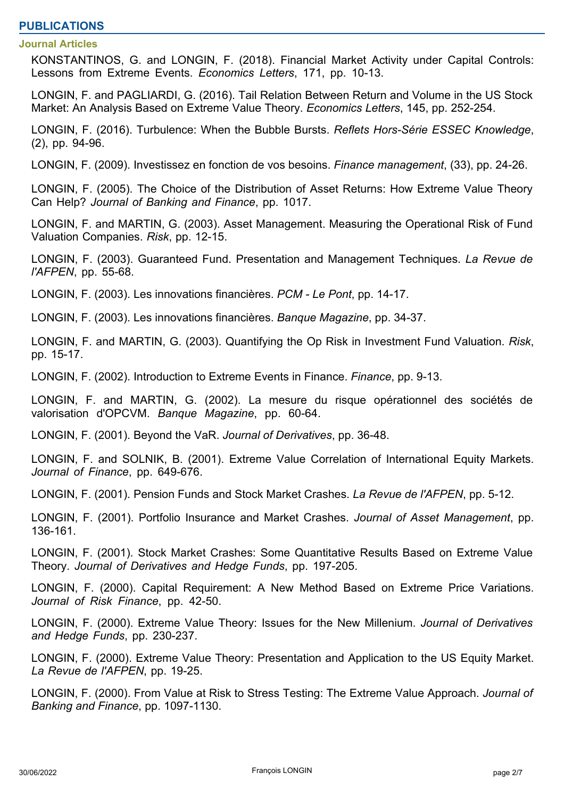# **PUBLICATIONS**

#### **Journal Articles**

KONSTANTINOS, G. and LONGIN, F. (2018). Financial Market Activity under Capital Controls: Lessons from Extreme Events. *Economics Letters*, 171, pp. 10-13.

LONGIN, F. and PAGLIARDI, G. (2016). Tail Relation Between Return and Volume in the US Stock Market: An Analysis Based on Extreme Value Theory. *Economics Letters*, 145, pp. 252-254.

LONGIN, F. (2016). Turbulence: When the Bubble Bursts. *Reflets Hors-Série ESSEC Knowledge*, (2), pp. 94-96.

LONGIN, F. (2009). Investissez en fonction de vos besoins. *Finance management*, (33), pp. 24-26.

LONGIN, F. (2005). The Choice of the Distribution of Asset Returns: How Extreme Value Theory Can Help? *Journal of Banking and Finance*, pp. 1017.

LONGIN, F. and MARTIN, G. (2003). Asset Management. Measuring the Operational Risk of Fund Valuation Companies. *Risk*, pp. 12-15.

LONGIN, F. (2003). Guaranteed Fund. Presentation and Management Techniques. *La Revue de l'AFPEN*, pp. 55-68.

LONGIN, F. (2003). Les innovations financières. *PCM - Le Pont*, pp. 14-17.

LONGIN, F. (2003). Les innovations financières. *Banque Magazine*, pp. 34-37.

LONGIN, F. and MARTIN, G. (2003). Quantifying the Op Risk in Investment Fund Valuation. *Risk*, pp. 15-17.

LONGIN, F. (2002). Introduction to Extreme Events in Finance. *Finance*, pp. 9-13.

LONGIN, F. and MARTIN, G. (2002). La mesure du risque opérationnel des sociétés de valorisation d'OPCVM. *Banque Magazine*, pp. 60-64.

LONGIN, F. (2001). Beyond the VaR. *Journal of Derivatives*, pp. 36-48.

LONGIN, F. and SOLNIK, B. (2001). Extreme Value Correlation of International Equity Markets. *Journal of Finance*, pp. 649-676.

LONGIN, F. (2001). Pension Funds and Stock Market Crashes. *La Revue de l'AFPEN*, pp. 5-12.

LONGIN, F. (2001). Portfolio Insurance and Market Crashes. *Journal of Asset Management*, pp. 136-161.

LONGIN, F. (2001). Stock Market Crashes: Some Quantitative Results Based on Extreme Value Theory. *Journal of Derivatives and Hedge Funds*, pp. 197-205.

LONGIN, F. (2000). Capital Requirement: A New Method Based on Extreme Price Variations. *Journal of Risk Finance*, pp. 42-50.

LONGIN, F. (2000). Extreme Value Theory: Issues for the New Millenium. *Journal of Derivatives and Hedge Funds*, pp. 230-237.

LONGIN, F. (2000). Extreme Value Theory: Presentation and Application to the US Equity Market. *La Revue de l'AFPEN*, pp. 19-25.

LONGIN, F. (2000). From Value at Risk to Stress Testing: The Extreme Value Approach. *Journal of Banking and Finance*, pp. 1097-1130.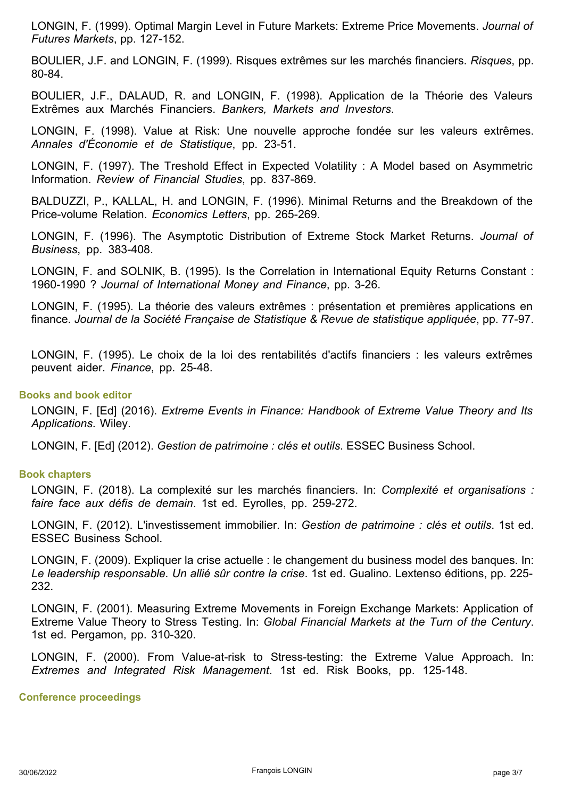LONGIN, F. (1999). Optimal Margin Level in Future Markets: Extreme Price Movements. *Journal of Futures Markets*, pp. 127-152.

BOULIER, J.F. and LONGIN, F. (1999). Risques extrêmes sur les marchés financiers. *Risques*, pp. 80-84.

BOULIER, J.F., DALAUD, R. and LONGIN, F. (1998). Application de la Théorie des Valeurs Extrêmes aux Marchés Financiers. *Bankers, Markets and Investors*.

LONGIN, F. (1998). Value at Risk: Une nouvelle approche fondée sur les valeurs extrêmes. *Annales d'Économie et de Statistique*, pp. 23-51.

LONGIN, F. (1997). The Treshold Effect in Expected Volatility : A Model based on Asymmetric Information. *Review of Financial Studies*, pp. 837-869.

BALDUZZI, P., KALLAL, H. and LONGIN, F. (1996). Minimal Returns and the Breakdown of the Price-volume Relation. *Economics Letters*, pp. 265-269.

LONGIN, F. (1996). The Asymptotic Distribution of Extreme Stock Market Returns. *Journal of Business*, pp. 383-408.

LONGIN, F. and SOLNIK, B. (1995). Is the Correlation in International Equity Returns Constant : 1960-1990 ? *Journal of International Money and Finance*, pp. 3-26.

LONGIN, F. (1995). La théorie des valeurs extrêmes : présentation et premières applications en finance. *Journal de la Société Française de Statistique & Revue de statistique appliquée*, pp. 77-97.

LONGIN, F. (1995). Le choix de la loi des rentabilités d'actifs financiers : les valeurs extrêmes peuvent aider. *Finance*, pp. 25-48.

## **Books and book editor**

LONGIN, F. [Ed] (2016). *Extreme Events in Finance: Handbook of Extreme Value Theory and Its Applications*. Wiley.

LONGIN, F. [Ed] (2012). *Gestion de patrimoine : clés et outils*. ESSEC Business School.

## **Book chapters**

LONGIN, F. (2018). La complexité sur les marchés financiers. In: *Complexité et organisations : faire face aux défis de demain*. 1st ed. Eyrolles, pp. 259-272.

LONGIN, F. (2012). L'investissement immobilier. In: *Gestion de patrimoine : clés et outils*. 1st ed. ESSEC Business School.

LONGIN, F. (2009). Expliquer la crise actuelle : le changement du business model des banques. In: *Le leadership responsable. Un allié sûr contre la crise*. 1st ed. Gualino. Lextenso éditions, pp. 225- 232.

LONGIN, F. (2001). Measuring Extreme Movements in Foreign Exchange Markets: Application of Extreme Value Theory to Stress Testing. In: *Global Financial Markets at the Turn of the Century*. 1st ed. Pergamon, pp. 310-320.

LONGIN, F. (2000). From Value-at-risk to Stress-testing: the Extreme Value Approach. In: *Extremes and Integrated Risk Management*. 1st ed. Risk Books, pp. 125-148.

**Conference proceedings**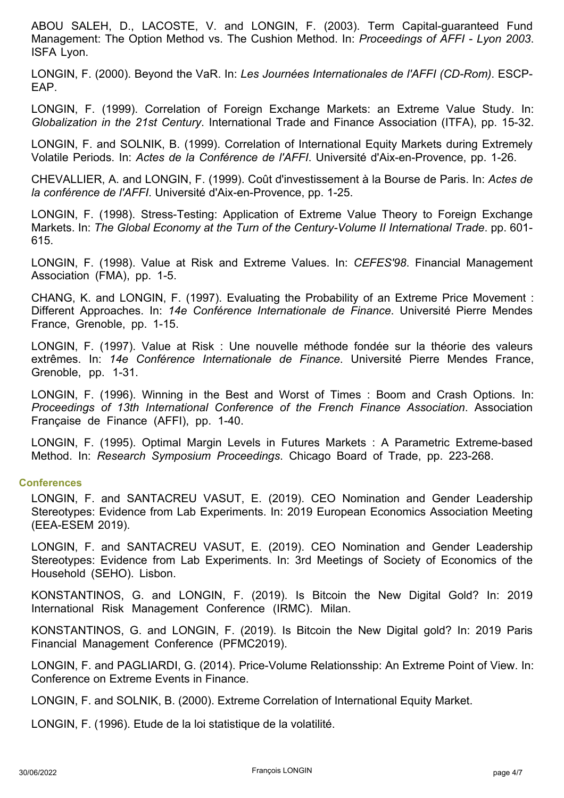ABOU SALEH, D., LACOSTE, V. and LONGIN, F. (2003). Term Capital-guaranteed Fund Management: The Option Method vs. The Cushion Method. In: *Proceedings of AFFI - Lyon 2003*. ISFA Lyon.

LONGIN, F. (2000). Beyond the VaR. In: *Les Journées Internationales de l'AFFI (CD-Rom)*. ESCP-EAP.

LONGIN, F. (1999). Correlation of Foreign Exchange Markets: an Extreme Value Study. In: *Globalization in the 21st Century*. International Trade and Finance Association (ITFA), pp. 15-32.

LONGIN, F. and SOLNIK, B. (1999). Correlation of International Equity Markets during Extremely Volatile Periods. In: *Actes de la Conférence de l'AFFI*. Université d'Aix-en-Provence, pp. 1-26.

CHEVALLIER, A. and LONGIN, F. (1999). Coût d'investissement à la Bourse de Paris. In: *Actes de la conférence de l'AFFI*. Université d'Aix-en-Provence, pp. 1-25.

LONGIN, F. (1998). Stress-Testing: Application of Extreme Value Theory to Foreign Exchange Markets. In: *The Global Economy at the Turn of the Century-Volume II International Trade*. pp. 601- 615.

LONGIN, F. (1998). Value at Risk and Extreme Values. In: *CEFES'98*. Financial Management Association (FMA), pp. 1-5.

CHANG, K. and LONGIN, F. (1997). Evaluating the Probability of an Extreme Price Movement : Different Approaches. In: *14e Conférence Internationale de Finance*. Université Pierre Mendes France, Grenoble, pp. 1-15.

LONGIN, F. (1997). Value at Risk : Une nouvelle méthode fondée sur la théorie des valeurs extrêmes. In: *14e Conférence Internationale de Finance*. Université Pierre Mendes France, Grenoble, pp. 1-31.

LONGIN, F. (1996). Winning in the Best and Worst of Times : Boom and Crash Options. In: *Proceedings of 13th International Conference of the French Finance Association*. Association Française de Finance (AFFI), pp. 1-40.

LONGIN, F. (1995). Optimal Margin Levels in Futures Markets : A Parametric Extreme-based Method. In: *Research Symposium Proceedings*. Chicago Board of Trade, pp. 223-268.

## **Conferences**

LONGIN, F. and SANTACREU VASUT, E. (2019). CEO Nomination and Gender Leadership Stereotypes: Evidence from Lab Experiments. In: 2019 European Economics Association Meeting (EEA-ESEM 2019).

LONGIN, F. and SANTACREU VASUT, E. (2019). CEO Nomination and Gender Leadership Stereotypes: Evidence from Lab Experiments. In: 3rd Meetings of Society of Economics of the Household (SEHO). Lisbon.

KONSTANTINOS, G. and LONGIN, F. (2019). Is Bitcoin the New Digital Gold? In: 2019 International Risk Management Conference (IRMC). Milan.

KONSTANTINOS, G. and LONGIN, F. (2019). Is Bitcoin the New Digital gold? In: 2019 Paris Financial Management Conference (PFMC2019).

LONGIN, F. and PAGLIARDI, G. (2014). Price-Volume Relationsship: An Extreme Point of View. In: Conference on Extreme Events in Finance.

LONGIN, F. and SOLNIK, B. (2000). Extreme Correlation of International Equity Market.

LONGIN, F. (1996). Etude de la loi statistique de la volatilité.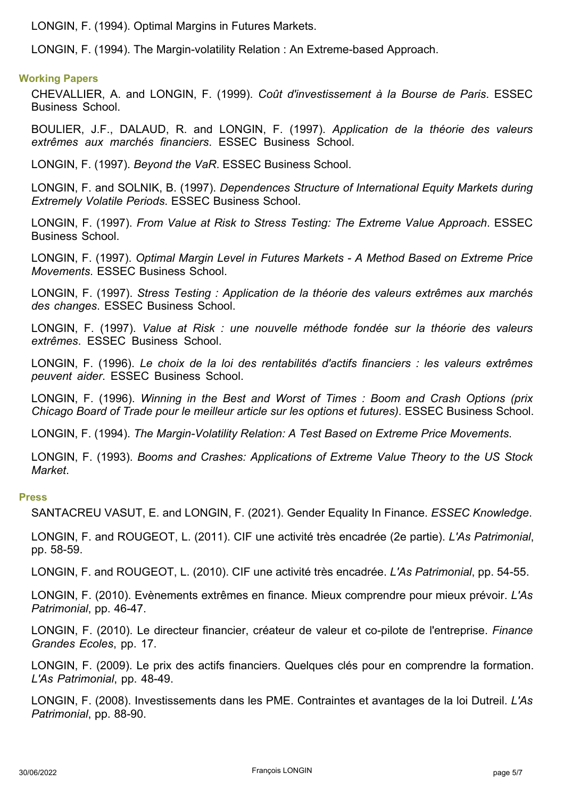LONGIN, F. (1994). Optimal Margins in Futures Markets.

LONGIN, F. (1994). The Margin-volatility Relation : An Extreme-based Approach.

## **Working Papers**

CHEVALLIER, A. and LONGIN, F. (1999). *Coût d'investissement à la Bourse de Paris*. ESSEC Business School.

BOULIER, J.F., DALAUD, R. and LONGIN, F. (1997). *Application de la théorie des valeurs extrêmes aux marchés financiers*. ESSEC Business School.

LONGIN, F. (1997). *Beyond the VaR*. ESSEC Business School.

LONGIN, F. and SOLNIK, B. (1997). *Dependences Structure of International Equity Markets during Extremely Volatile Periods*. ESSEC Business School.

LONGIN, F. (1997). *From Value at Risk to Stress Testing: The Extreme Value Approach*. ESSEC Business School.

LONGIN, F. (1997). *Optimal Margin Level in Futures Markets - A Method Based on Extreme Price Movements*. ESSEC Business School.

LONGIN, F. (1997). *Stress Testing : Application de la théorie des valeurs extrêmes aux marchés des changes*. ESSEC Business School.

LONGIN, F. (1997). *Value at Risk : une nouvelle méthode fondée sur la théorie des valeurs extrêmes*. ESSEC Business School.

LONGIN, F. (1996). *Le choix de la loi des rentabilités d'actifs financiers : les valeurs extrêmes peuvent aider*. ESSEC Business School.

LONGIN, F. (1996). *Winning in the Best and Worst of Times : Boom and Crash Options (prix Chicago Board of Trade pour le meilleur article sur les options et futures)*. ESSEC Business School.

LONGIN, F. (1994). *The Margin-Volatility Relation: A Test Based on Extreme Price Movements*.

LONGIN, F. (1993). *Booms and Crashes: Applications of Extreme Value Theory to the US Stock Market*.

#### **Press**

SANTACREU VASUT, E. and LONGIN, F. (2021). Gender Equality In Finance. *ESSEC Knowledge*.

LONGIN, F. and ROUGEOT, L. (2011). CIF une activité très encadrée (2e partie). *L'As Patrimonial*, pp. 58-59.

LONGIN, F. and ROUGEOT, L. (2010). CIF une activité très encadrée. *L'As Patrimonial*, pp. 54-55.

LONGIN, F. (2010). Evènements extrêmes en finance. Mieux comprendre pour mieux prévoir. *L'As Patrimonial*, pp. 46-47.

LONGIN, F. (2010). Le directeur financier, créateur de valeur et co-pilote de l'entreprise. *Finance Grandes Ecoles*, pp. 17.

LONGIN, F. (2009). Le prix des actifs financiers. Quelques clés pour en comprendre la formation. *L'As Patrimonial*, pp. 48-49.

LONGIN, F. (2008). Investissements dans les PME. Contraintes et avantages de la loi Dutreil. *L'As Patrimonial*, pp. 88-90.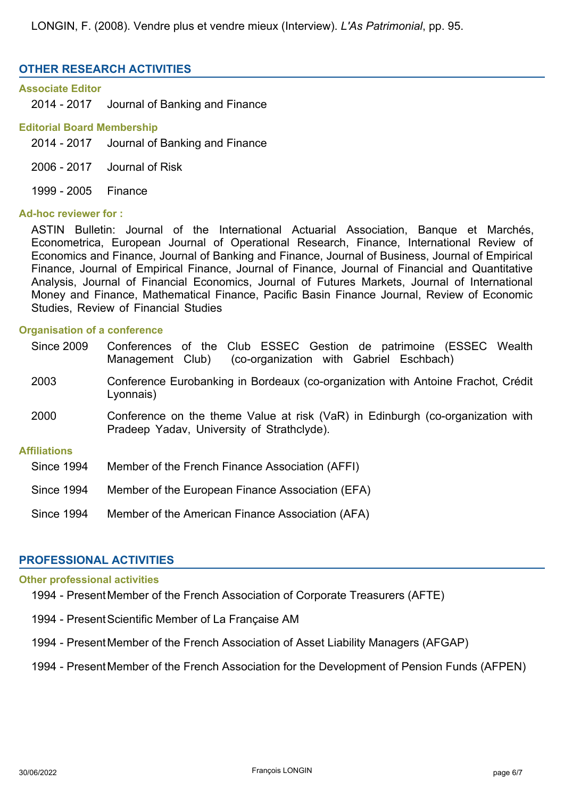LONGIN, F. (2008). Vendre plus et vendre mieux (Interview). *L'As Patrimonial*, pp. 95.

# **OTHER RESEARCH ACTIVITIES**

## **Associate Editor**

2014 - 2017 Journal of Banking and Finance

## **Editorial Board Membership**

2014 - 2017 Journal of Banking and Finance

- 2006 2017 Journal of Risk
- 1999 2005 Finance

## **Ad-hoc reviewer for :**

ASTIN Bulletin: Journal of the International Actuarial Association, Banque et Marchés, Econometrica, European Journal of Operational Research, Finance, International Review of Economics and Finance, Journal of Banking and Finance, Journal of Business, Journal of Empirical Finance, Journal of Empirical Finance, Journal of Finance, Journal of Financial and Quantitative Analysis, Journal of Financial Economics, Journal of Futures Markets, Journal of International Money and Finance, Mathematical Finance, Pacific Basin Finance Journal, Review of Economic Studies, Review of Financial Studies

## **Organisation of a conference**

| <b>Since 2009</b>   | Conferences of the Club ESSEC Gestion de patrimoine (ESSEC Wealth<br>(co-organization with Gabriel Eschbach)<br>Management Club) |
|---------------------|----------------------------------------------------------------------------------------------------------------------------------|
| 2003                | Conference Eurobanking in Bordeaux (co-organization with Antoine Frachot, Crédit<br>Lyonnais)                                    |
| 2000                | Conference on the theme Value at risk (VaR) in Edinburgh (co-organization with<br>Pradeep Yadav, University of Strathclyde).     |
| <b>Affiliations</b> |                                                                                                                                  |
| <b>Since 1994</b>   | Member of the French Finance Association (AFFI)                                                                                  |
| <b>Since 1994</b>   | Member of the European Finance Association (EFA)                                                                                 |
| <b>Since 1994</b>   | Member of the American Finance Association (AFA)                                                                                 |

## **PROFESSIONAL ACTIVITIES**

## **Other professional activities**

- 1994 PresentMember of the French Association of Corporate Treasurers (AFTE)
- 1994 Present Scientific Member of La Française AM
- 1994 PresentMember of the French Association of Asset Liability Managers (AFGAP)
- 1994 PresentMember of the French Association for the Development of Pension Funds (AFPEN)